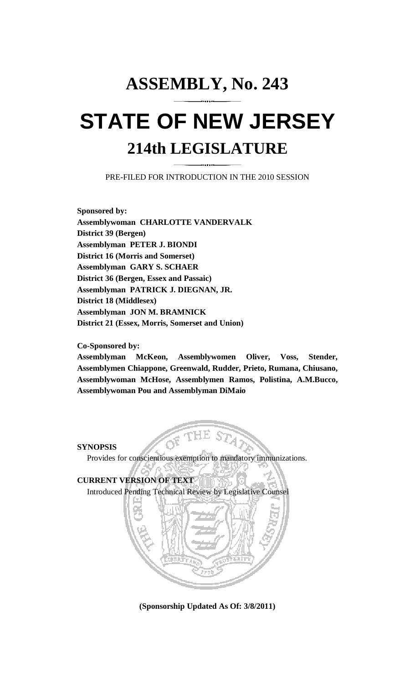# **ASSEMBLY, No. 243 STATE OF NEW JERSEY 214th LEGISLATURE**

PRE-FILED FOR INTRODUCTION IN THE 2010 SESSION

**Sponsored by: Assemblywoman CHARLOTTE VANDERVALK District 39 (Bergen) Assemblyman PETER J. BIONDI District 16 (Morris and Somerset) Assemblyman GARY S. SCHAER District 36 (Bergen, Essex and Passaic) Assemblyman PATRICK J. DIEGNAN, JR. District 18 (Middlesex) Assemblyman JON M. BRAMNICK District 21 (Essex, Morris, Somerset and Union)** 

#### **Co-Sponsored by:**

**Assemblyman McKeon, Assemblywomen Oliver, Voss, Stender, Assemblymen Chiappone, Greenwald, Rudder, Prieto, Rumana, Chiusano, Assemblywoman McHose, Assemblymen Ramos, Polistina, A.M.Bucco, Assemblywoman Pou and Assemblyman DiMaio** 

**SYNOPSIS** 

Provides for conscientious exemption to mandatory immunizations.

**CURRENT VERSION OF TEXT**  Introduced Pending Technical Review by Legislative Counsel



**(Sponsorship Updated As Of: 3/8/2011)**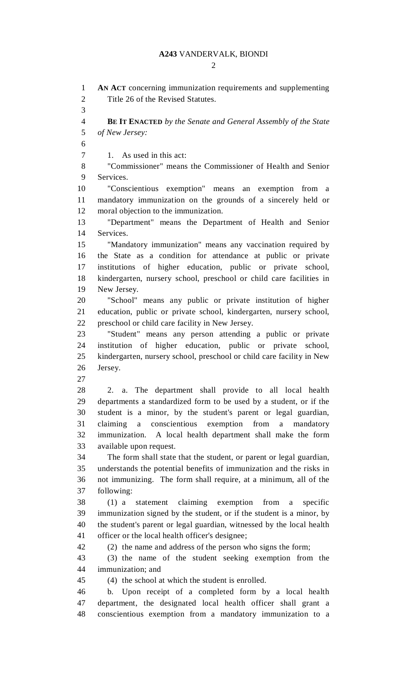### **A243** VANDERVALK, BIONDI

 $\mathcal{D}_{\mathcal{L}}$ 

1 **AN ACT** concerning immunization requirements and supplementing 2 Title 26 of the Revised Statutes. 3 4 **BE IT ENACTED** *by the Senate and General Assembly of the State*  5 *of New Jersey:*  6 7 1. As used in this act: 8 "Commissioner" means the Commissioner of Health and Senior 9 Services. 10 "Conscientious exemption" means an exemption from a 11 mandatory immunization on the grounds of a sincerely held or 12 moral objection to the immunization. 13 "Department" means the Department of Health and Senior 14 Services. 15 "Mandatory immunization" means any vaccination required by 16 the State as a condition for attendance at public or private 17 institutions of higher education, public or private school, 18 kindergarten, nursery school, preschool or child care facilities in 19 New Jersey. 20 "School" means any public or private institution of higher 21 education, public or private school, kindergarten, nursery school, 22 preschool or child care facility in New Jersey. 23 "Student" means any person attending a public or private 24 institution of higher education, public or private school, 25 kindergarten, nursery school, preschool or child care facility in New 26 Jersey. 27 28 2. a. The department shall provide to all local health 29 departments a standardized form to be used by a student, or if the 30 student is a minor, by the student's parent or legal guardian, 31 claiming a conscientious exemption from a mandatory 32 immunization. A local health department shall make the form 33 available upon request. 34 The form shall state that the student, or parent or legal guardian, 35 understands the potential benefits of immunization and the risks in 36 not immunizing. The form shall require, at a minimum, all of the 37 following: 38 (1) a statement claiming exemption from a specific 39 immunization signed by the student, or if the student is a minor, by 40 the student's parent or legal guardian, witnessed by the local health 41 officer or the local health officer's designee; 42 (2) the name and address of the person who signs the form; 43 (3) the name of the student seeking exemption from the 44 immunization; and 45 (4) the school at which the student is enrolled. 46 b. Upon receipt of a completed form by a local health 47 department, the designated local health officer shall grant a 48 conscientious exemption from a mandatory immunization to a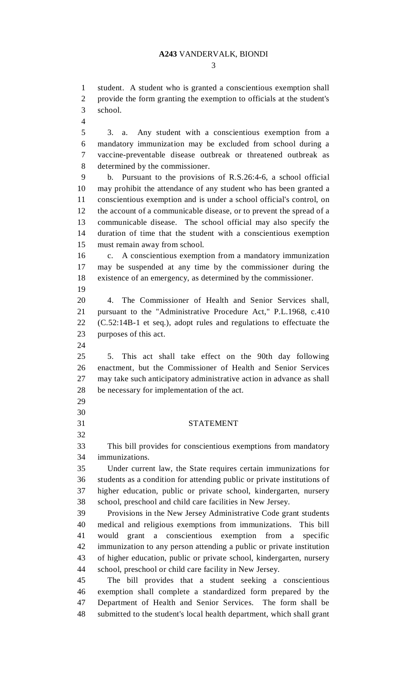3

1 student. A student who is granted a conscientious exemption shall 2 provide the form granting the exemption to officials at the student's 3 school.

4

5 3. a. Any student with a conscientious exemption from a 6 mandatory immunization may be excluded from school during a 7 vaccine-preventable disease outbreak or threatened outbreak as 8 determined by the commissioner.

9 b. Pursuant to the provisions of R.S.26:4-6, a school official 10 may prohibit the attendance of any student who has been granted a 11 conscientious exemption and is under a school official's control, on 12 the account of a communicable disease, or to prevent the spread of a 13 communicable disease. The school official may also specify the 14 duration of time that the student with a conscientious exemption 15 must remain away from school.

16 c. A conscientious exemption from a mandatory immunization 17 may be suspended at any time by the commissioner during the 18 existence of an emergency, as determined by the commissioner.

19

20 4. The Commissioner of Health and Senior Services shall, 21 pursuant to the "Administrative Procedure Act," P.L.1968, c.410 22 (C.52:14B-1 et seq.), adopt rules and regulations to effectuate the 23 purposes of this act.

24

29 30

32

25 5. This act shall take effect on the 90th day following 26 enactment, but the Commissioner of Health and Senior Services 27 may take such anticipatory administrative action in advance as shall 28 be necessary for implementation of the act.

## 31 STATEMENT

33 This bill provides for conscientious exemptions from mandatory 34 immunizations.

35 Under current law, the State requires certain immunizations for 36 students as a condition for attending public or private institutions of 37 higher education, public or private school, kindergarten, nursery 38 school, preschool and child care facilities in New Jersey.

39 Provisions in the New Jersey Administrative Code grant students 40 medical and religious exemptions from immunizations. This bill 41 would grant a conscientious exemption from a specific 42 immunization to any person attending a public or private institution 43 of higher education, public or private school, kindergarten, nursery 44 school, preschool or child care facility in New Jersey.

45 The bill provides that a student seeking a conscientious 46 exemption shall complete a standardized form prepared by the 47 Department of Health and Senior Services. The form shall be 48 submitted to the student's local health department, which shall grant